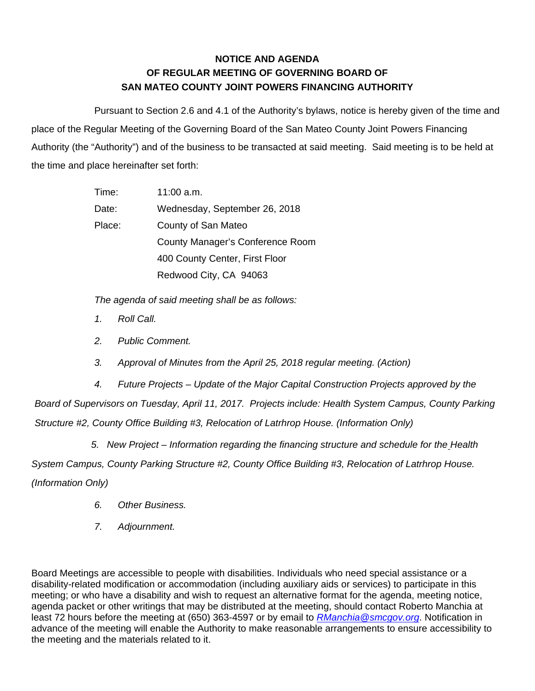## **NOTICE AND AGENDA OF REGULAR MEETING OF GOVERNING BOARD OF SAN MATEO COUNTY JOINT POWERS FINANCING AUTHORITY**

Pursuant to Section 2.6 and 4.1 of the Authority's bylaws, notice is hereby given of the time and place of the Regular Meeting of the Governing Board of the San Mateo County Joint Powers Financing Authority (the "Authority") and of the business to be transacted at said meeting. Said meeting is to be held at the time and place hereinafter set forth:

| Time:  | $11:00$ a.m.                     |
|--------|----------------------------------|
| Date:  | Wednesday, September 26, 2018    |
| Place: | County of San Mateo              |
|        | County Manager's Conference Room |
|        | 400 County Center, First Floor   |
|        | Redwood City, CA 94063           |

*The agenda of said meeting shall be as follows:* 

- *1. Roll Call.*
- *2. Public Comment.*
- *3. Approval of Minutes from the April 25, 2018 regular meeting. (Action)*

*4. Future Projects – Update of the Major Capital Construction Projects approved by the Board of Supervisors on Tuesday, April 11, 2017. Projects include: Health System Campus, County Parking Structure #2, County Office Building #3, Relocation of Latrhrop House. (Information Only)* 

*5.* New Project – Information regarding the financing structure and schedule for the Health *System Campus, County Parking Structure #2, County Office Building #3, Relocation of Latrhrop House. (Information Only)* 

- *6. Other Business.*
- *7. Adjournment.*

Board Meetings are accessible to people with disabilities. Individuals who need special assistance or a disability-related modification or accommodation (including auxiliary aids or services) to participate in this meeting; or who have a disability and wish to request an alternative format for the agenda, meeting notice, agenda packet or other writings that may be distributed at the meeting, should contact Roberto Manchia at least 72 hours before the meeting at (650) 363-4597 or by email to *RManchia@smcgov.org*. Notification in advance of the meeting will enable the Authority to make reasonable arrangements to ensure accessibility to the meeting and the materials related to it.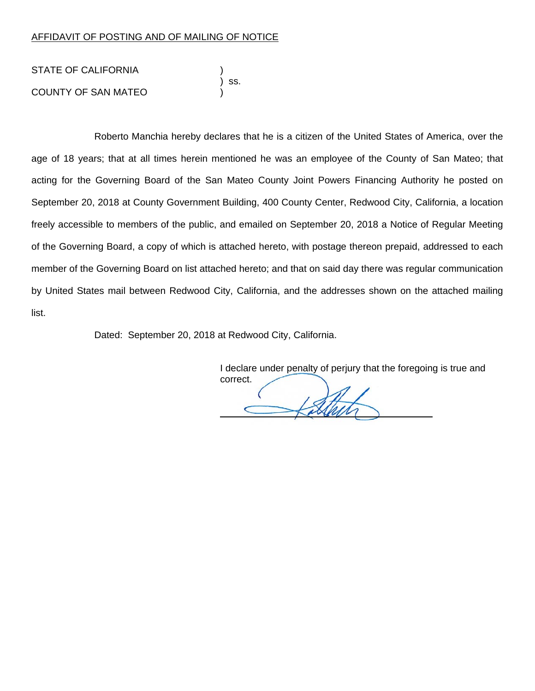## AFFIDAVIT OF POSTING AND OF MAILING OF NOTICE

STATE OF CALIFORNIA ) ss. COUNTY OF SAN MATEO )

Roberto Manchia hereby declares that he is a citizen of the United States of America, over the age of 18 years; that at all times herein mentioned he was an employee of the County of San Mateo; that acting for the Governing Board of the San Mateo County Joint Powers Financing Authority he posted on September 20, 2018 at County Government Building, 400 County Center, Redwood City, California, a location freely accessible to members of the public, and emailed on September 20, 2018 a Notice of Regular Meeting of the Governing Board, a copy of which is attached hereto, with postage thereon prepaid, addressed to each member of the Governing Board on list attached hereto; and that on said day there was regular communication by United States mail between Redwood City, California, and the addresses shown on the attached mailing list.

Dated: September 20, 2018 at Redwood City, California.

 I declare under penalty of perjury that the foregoing is true and correct.